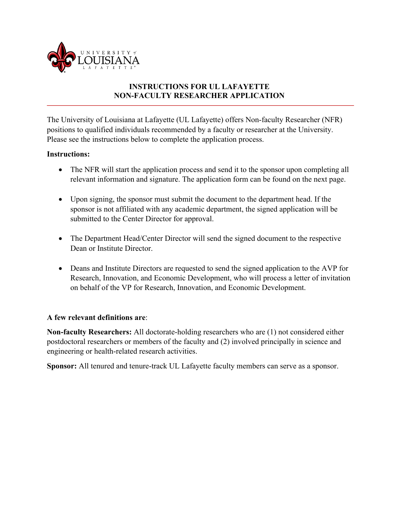

## **INSTRUCTIONS FOR UL LAFAYETTE NON-FACULTY RESEARCHER APPLICATION**

The University of Louisiana at Lafayette (UL Lafayette) offers Non-faculty Researcher (NFR) positions to qualified individuals recommended by a faculty or researcher at the University. Please see the instructions below to complete the application process.

## **Instructions:**

- The NFR will start the application process and send it to the sponsor upon completing all relevant information and signature. The application form can be found on the next page.
- Upon signing, the sponsor must submit the document to the department head. If the sponsor is not affiliated with any academic department, the signed application will be submitted to the Center Director for approval.
- The Department Head/Center Director will send the signed document to the respective Dean or Institute Director.
- Deans and Institute Directors are requested to send the signed application to the AVP for Research, Innovation, and Economic Development, who will process a letter of invitation on behalf of the VP for Research, Innovation, and Economic Development.

## **A few relevant definitions are**:

**Non-faculty Researchers:** All doctorate-holding researchers who are (1) not considered either postdoctoral researchers or members of the faculty and (2) involved principally in science and engineering or health-related research activities.

**Sponsor:** All tenured and tenure-track UL Lafayette faculty members can serve as a sponsor.